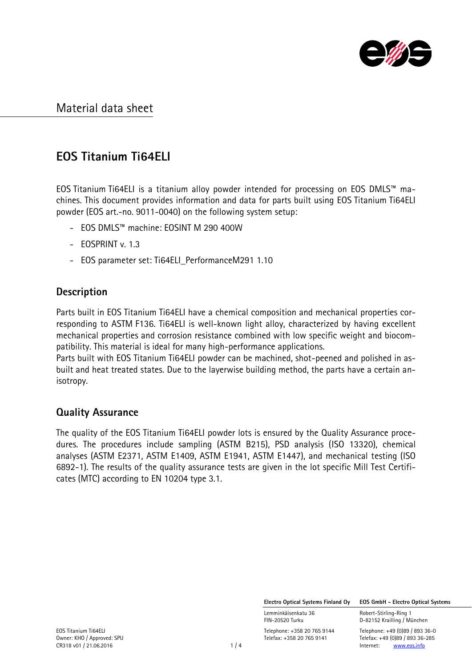

# EOS Titanium Ti64ELI

EOS Titanium Ti64ELI is a titanium alloy powder intended for processing on EOS DMLS™ machines. This document provides information and data for parts built using EOS Titanium Ti64ELI powder (EOS art.-no. 9011-0040) on the following system setup:

- EOS DMLS™ machine: EOSINT M 290 400W
- EOSPRINT v. 1.3
- EOS parameter set: Ti64ELI\_PerformanceM291 1.10

### **Description**

Parts built in EOS Titanium Ti64ELI have a chemical composition and mechanical properties corresponding to ASTM F136. Ti64ELI is well-known light alloy, characterized by having excellent mechanical properties and corrosion resistance combined with low specific weight and biocompatibility. This material is ideal for many high-performance applications.

Parts built with EOS Titanium Ti64ELI powder can be machined, shot-peened and polished in asbuilt and heat treated states. Due to the layerwise building method, the parts have a certain anisotropy.

### Quality Assurance

The quality of the EOS Titanium Ti64ELI powder lots is ensured by the Quality Assurance procedures. The procedures include sampling (ASTM B215), PSD analysis (ISO 13320), chemical analyses (ASTM E2371, ASTM E1409, ASTM E1941, ASTM E1447), and mechanical testing (ISO 6892-1). The results of the quality assurance tests are given in the lot specific Mill Test Certificates (MTC) according to EN 10204 type 3.1.

Electro Optical Systems Finland Oy EOS GmbH - Electro Optical Systems

Lemminkäisenkatu 36 **Robert-Stirling-Ring 1**<br>FIN-20520 Turku **1988 ELE**D-82152 Krailling / Mi

D-82152 Krailling / München

EOS Titanium Ti64ELI<br>
Comer: KHO / Approved: SPU

Comer: KHO / Approved: SPU

Comer: KHO / Approved: SPU

Elegax: +49 (0)89 / 893 36-285 Telefax: +358 20 765 9141 Telefax: +49 (0)89 / 893 36-285<br>1 / 4 Internet: www.eos.info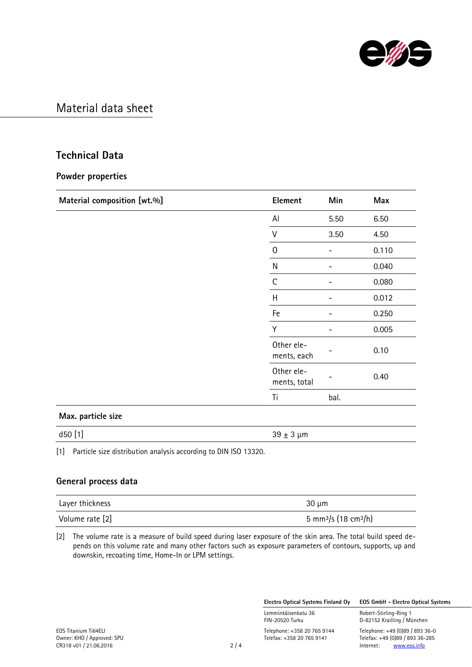

### Technical Data

#### Powder properties

| Material composition [wt.%] | Element                    | Min  | Max   |
|-----------------------------|----------------------------|------|-------|
|                             | Al                         | 5.50 | 6.50  |
|                             | $\vee$                     | 3.50 | 4.50  |
|                             | $\Omega$                   |      | 0.110 |
|                             | N                          |      | 0.040 |
|                             | $\mathsf{C}$               |      | 0.080 |
|                             | H                          |      | 0.012 |
|                             | Fe                         |      | 0.250 |
|                             | Y                          |      | 0.005 |
|                             | Other ele-<br>ments, each  |      | 0.10  |
|                             | Other ele-<br>ments, total |      | 0.40  |
|                             | Ti                         | bal. |       |
| Max. particle size          |                            |      |       |

d50 [1]  $39 \pm 3 \mu m$ 

[1] Particle size distribution analysis according to DIN ISO 13320.

#### General process data

| Layer thickness | $30 \mu m$                                   |
|-----------------|----------------------------------------------|
| Volume rate [2] | 5 mm <sup>3</sup> /s (18 cm <sup>3</sup> /h) |

[2] The volume rate is a measure of build speed during laser exposure of the skin area. The total build speed depends on this volume rate and many other factors such as exposure parameters of contours, supports, up and downskin, recoating time, Home-In or LPM settings.

Electro Optical Systems Finland Oy EOS GmbH - Electro Optical Systems

Lemminkäisenkatu 36 Robert-Stirling-Ring 1<br>FIN-20520 Turku 1988 Robert-Stirling / Mi

D-82152 Krailling / München

EOS Titanium Ti64ELI Telephone: +358 20 765 9144 Telephone: +49 (0)89 / 893 36-0 Telefax: +358 20 765 9141 Telefax: +49 (0)89 / 893 36-285<br>2 / 4 Internet: www.eos.info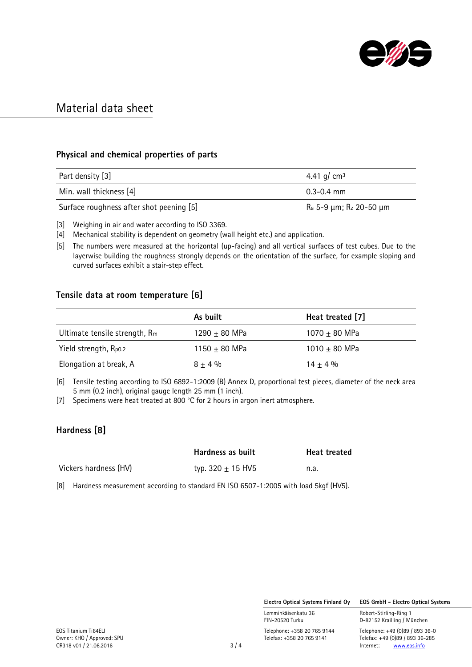

#### Physical and chemical properties of parts

| Part density [3]                         | 4.41 g/ cm <sup>3</sup> |
|------------------------------------------|-------------------------|
| Min. wall thickness [4]                  | $0.3 - 0.4$ mm          |
| Surface roughness after shot peening [5] | Ra 5–9 μm; Rz 20–50 μm  |

[3] Weighing in air and water according to ISO 3369.

[4] Mechanical stability is dependent on geometry (wall height etc.) and application.

[5] The numbers were measured at the horizontal (up-facing) and all vertical surfaces of test cubes. Due to the layerwise building the roughness strongly depends on the orientation of the surface, for example sloping and curved surfaces exhibit a stair-step effect.

#### Tensile data at room temperature [6]

|                               | As built          | Heat treated [7]  |
|-------------------------------|-------------------|-------------------|
| Ultimate tensile strength, Rm | 1290 $\pm$ 80 MPa | 1070 $\pm$ 80 MPa |
| Yield strength, Rpo.2         | 1150 $\pm$ 80 MPa | 1010 $\pm$ 80 MPa |
| Elongation at break, A        | $8 + 4\%$         | $14 + 4%$         |

[6] Tensile testing according to ISO 6892-1:2009 (B) Annex D, proportional test pieces, diameter of the neck area 5 mm (0.2 inch), original gauge length 25 mm (1 inch).

[7] Specimens were heat treated at 800 °C for 2 hours in argon inert atmosphere.

### Hardness [8]

|                       | Hardness as built     | <b>Heat treated</b> |
|-----------------------|-----------------------|---------------------|
| Vickers hardness (HV) | typ. 320 $\pm$ 15 HV5 | n.a.                |

[8] Hardness measurement according to standard EN ISO 6507-1:2005 with load 5kgf (HV5).

Electro Optical Systems Finland Oy EOS GmbH - Electro Optical Systems

D-82152 Krailling / München

Lemminkäisenkatu 36 **Robert-Stirling-Ring 1**<br>FIN-20520 Turku **1988 ELE**D-82152 Krailling / Mi

EOS Titanium Ti64ELI<br>
Comer: KHO / Approved: SPU

Comer: KHO / Approved: SPU

Comer: KHO / Approved: SPU

Elegax: +49 (0)89 / 893 36-285 Telefax: +358 20 765 9141 Telefax: +49 (0)89 / 893 36-285<br>3 / 4 Internet: www.eos.info